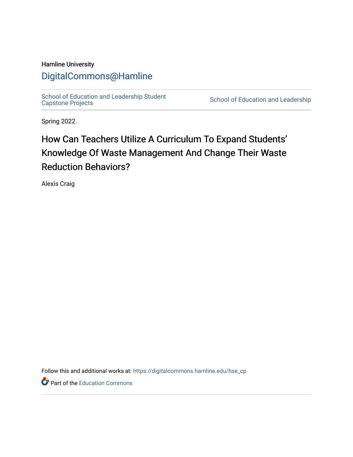# Hamline University

# [DigitalCommons@Hamline](https://digitalcommons.hamline.edu/)

[School of Education and Leadership Student](https://digitalcommons.hamline.edu/hse_cp)<br>Capstone Projects

School of Education and Leadership

Spring 2022

# How Can Teachers Utilize A Curriculum To Expand Students' Knowledge Of Waste Management And Change Their Waste Reduction Behaviors?

Alexis Craig

Follow this and additional works at: [https://digitalcommons.hamline.edu/hse\\_cp](https://digitalcommons.hamline.edu/hse_cp?utm_source=digitalcommons.hamline.edu%2Fhse_cp%2F800&utm_medium=PDF&utm_campaign=PDFCoverPages) 

Part of the [Education Commons](https://network.bepress.com/hgg/discipline/784?utm_source=digitalcommons.hamline.edu%2Fhse_cp%2F800&utm_medium=PDF&utm_campaign=PDFCoverPages)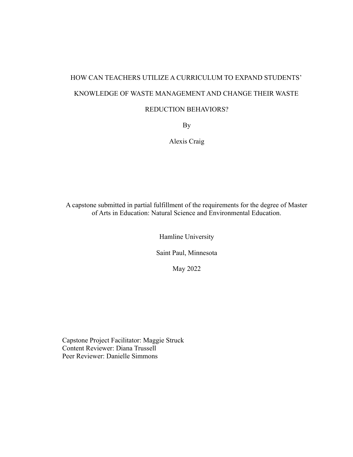# HOW CAN TEACHERS UTILIZE A CURRICULUM TO EXPAND STUDENTS' KNOWLEDGE OF WASTE MANAGEMENT AND CHANGE THEIR WASTE REDUCTION BEHAVIORS?

By

Alexis Craig

A capstone submitted in partial fulfillment of the requirements for the degree of Master of Arts in Education: Natural Science and Environmental Education.

Hamline University

Saint Paul, Minnesota

May 2022

Capstone Project Facilitator: Maggie Struck Content Reviewer: Diana Trussell Peer Reviewer: Danielle Simmons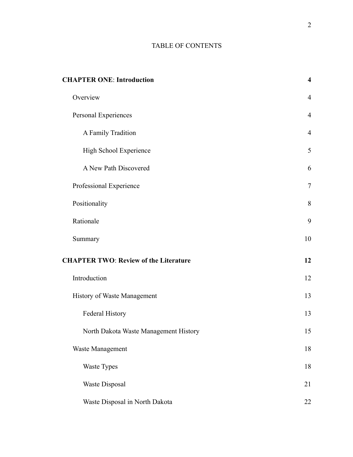# TABLE OF CONTENTS

| <b>CHAPTER ONE: Introduction</b>             |  | $\overline{\mathbf{4}}$ |
|----------------------------------------------|--|-------------------------|
| Overview                                     |  | $\overline{4}$          |
| Personal Experiences                         |  | $\overline{4}$          |
| A Family Tradition                           |  | $\overline{4}$          |
| High School Experience                       |  | 5                       |
| A New Path Discovered                        |  | 6                       |
| Professional Experience                      |  | $\overline{7}$          |
| Positionality                                |  | $8\,$                   |
| Rationale                                    |  | 9                       |
| Summary                                      |  | 10                      |
| <b>CHAPTER TWO: Review of the Literature</b> |  | 12                      |
| Introduction                                 |  | 12                      |
| History of Waste Management                  |  | 13                      |
| Federal History                              |  | 13                      |
| North Dakota Waste Management History        |  | 15                      |
| Waste Management                             |  | $18\,$                  |
| Waste Types                                  |  | 18                      |
| Waste Disposal                               |  | 21                      |
| Waste Disposal in North Dakota               |  | 22                      |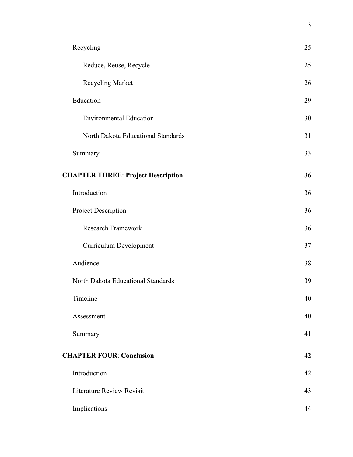| Recycling                                 | 25 |
|-------------------------------------------|----|
| Reduce, Reuse, Recycle                    | 25 |
| Recycling Market                          | 26 |
| Education                                 | 29 |
| <b>Environmental Education</b>            | 30 |
| North Dakota Educational Standards        | 31 |
| Summary                                   | 33 |
| <b>CHAPTER THREE: Project Description</b> | 36 |
| Introduction                              | 36 |
| Project Description                       | 36 |
| <b>Research Framework</b>                 | 36 |
| <b>Curriculum Development</b>             | 37 |
| Audience                                  | 38 |
| North Dakota Educational Standards        | 39 |
| Timeline                                  | 40 |
| Assessment                                | 40 |
| Summary                                   | 41 |
| <b>CHAPTER FOUR: Conclusion</b>           |    |
| Introduction                              | 42 |
| <b>Literature Review Revisit</b>          | 43 |
| Implications                              | 44 |

3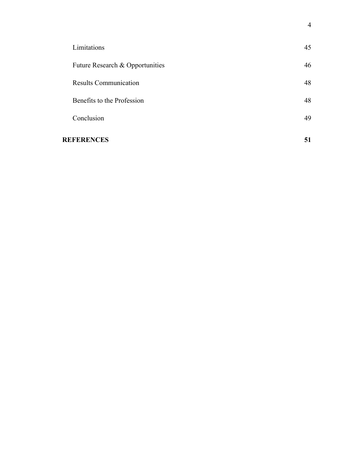| <b>REFERENCES</b>               | 51 |
|---------------------------------|----|
| Conclusion                      | 49 |
| Benefits to the Profession      | 48 |
| <b>Results Communication</b>    | 48 |
| Future Research & Opportunities | 46 |
| Limitations                     | 45 |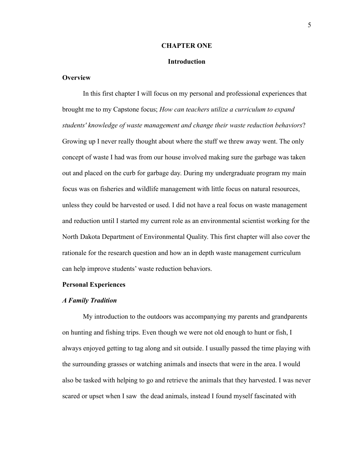#### **CHAPTER ONE**

# **Introduction**

# <span id="page-5-2"></span><span id="page-5-1"></span><span id="page-5-0"></span>**Overview**

In this first chapter I will focus on my personal and professional experiences that brought me to my Capstone focus; *How can teachers utilize a curriculum to expand students' knowledge of waste management and change their waste reduction behaviors*? Growing up I never really thought about where the stuff we threw away went. The only concept of waste I had was from our house involved making sure the garbage was taken out and placed on the curb for garbage day. During my undergraduate program my main focus was on fisheries and wildlife management with little focus on natural resources, unless they could be harvested or used. I did not have a real focus on waste management and reduction until I started my current role as an environmental scientist working for the North Dakota Department of Environmental Quality. This first chapter will also cover the rationale for the research question and how an in depth waste management curriculum can help improve students' waste reduction behaviors.

### <span id="page-5-3"></span>**Personal Experiences**

#### <span id="page-5-4"></span>*A Family Tradition*

My introduction to the outdoors was accompanying my parents and grandparents on hunting and fishing trips. Even though we were not old enough to hunt or fish, I always enjoyed getting to tag along and sit outside. I usually passed the time playing with the surrounding grasses or watching animals and insects that were in the area. I would also be tasked with helping to go and retrieve the animals that they harvested. I was never scared or upset when I saw the dead animals, instead I found myself fascinated with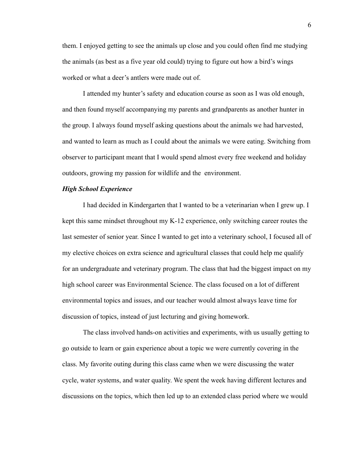them. I enjoyed getting to see the animals up close and you could often find me studying the animals (as best as a five year old could) trying to figure out how a bird's wings worked or what a deer's antlers were made out of.

I attended my hunter's safety and education course as soon as I was old enough, and then found myself accompanying my parents and grandparents as another hunter in the group. I always found myself asking questions about the animals we had harvested, and wanted to learn as much as I could about the animals we were eating. Switching from observer to participant meant that I would spend almost every free weekend and holiday outdoors, growing my passion for wildlife and the environment.

## <span id="page-6-0"></span>*High School Experience*

I had decided in Kindergarten that I wanted to be a veterinarian when I grew up. I kept this same mindset throughout my K-12 experience, only switching career routes the last semester of senior year. Since I wanted to get into a veterinary school, I focused all of my elective choices on extra science and agricultural classes that could help me qualify for an undergraduate and veterinary program. The class that had the biggest impact on my high school career was Environmental Science. The class focused on a lot of different environmental topics and issues, and our teacher would almost always leave time for discussion of topics, instead of just lecturing and giving homework.

The class involved hands-on activities and experiments, with us usually getting to go outside to learn or gain experience about a topic we were currently covering in the class. My favorite outing during this class came when we were discussing the water cycle, water systems, and water quality. We spent the week having different lectures and discussions on the topics, which then led up to an extended class period where we would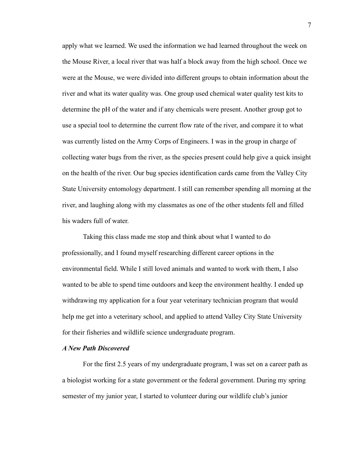apply what we learned. We used the information we had learned throughout the week on the Mouse River, a local river that was half a block away from the high school. Once we were at the Mouse, we were divided into different groups to obtain information about the river and what its water quality was. One group used chemical water quality test kits to determine the pH of the water and if any chemicals were present. Another group got to use a special tool to determine the current flow rate of the river, and compare it to what was currently listed on the Army Corps of Engineers. I was in the group in charge of collecting water bugs from the river, as the species present could help give a quick insight on the health of the river. Our bug species identification cards came from the Valley City State University entomology department. I still can remember spending all morning at the river, and laughing along with my classmates as one of the other students fell and filled his waders full of water.

Taking this class made me stop and think about what I wanted to do professionally, and I found myself researching different career options in the environmental field. While I still loved animals and wanted to work with them, I also wanted to be able to spend time outdoors and keep the environment healthy. I ended up withdrawing my application for a four year veterinary technician program that would help me get into a veterinary school, and applied to attend Valley City State University for their fisheries and wildlife science undergraduate program.

# <span id="page-7-0"></span>*A New Path Discovered*

For the first 2.5 years of my undergraduate program, I was set on a career path as a biologist working for a state government or the federal government. During my spring semester of my junior year, I started to volunteer during our wildlife club's junior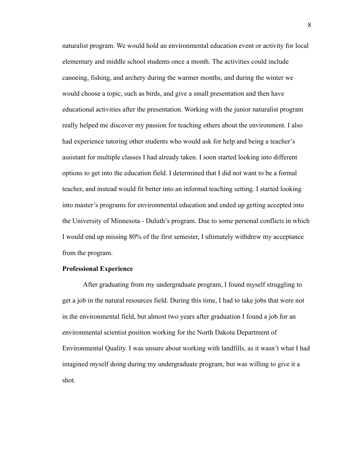naturalist program. We would hold an environmental education event or activity for local elementary and middle school students once a month. The activities could include canoeing, fishing, and archery during the warmer months, and during the winter we would choose a topic, such as birds, and give a small presentation and then have educational activities after the presentation. Working with the junior naturalist program really helped me discover my passion for teaching others about the environment. I also had experience tutoring other students who would ask for help and being a teacher's assistant for multiple classes I had already taken. I soon started looking into different options to get into the education field. I determined that I did not want to be a formal teacher, and instead would fit better into an informal teaching setting. I started looking into master's programs for environmental education and ended up getting accepted into the University of Minnesota - Duluth's program. Due to some personal conflicts in which I would end up missing 80% of the first semester, I ultimately withdrew my acceptance from the program.

# <span id="page-8-0"></span>**Professional Experience**

After graduating from my undergraduate program, I found myself struggling to get a job in the natural resources field. During this time, I had to take jobs that were not in the environmental field, but almost two years after graduation I found a job for an environmental scientist position working for the North Dakota Department of Environmental Quality. I was unsure about working with landfills, as it wasn't what I had imagined myself doing during my undergraduate program, but was willing to give it a shot.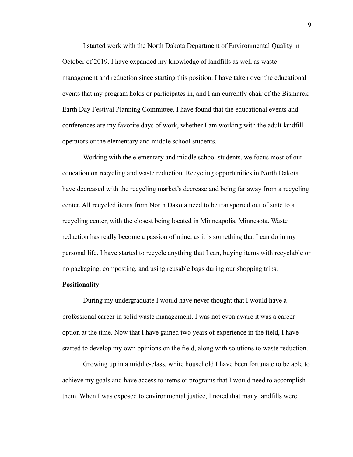I started work with the North Dakota Department of Environmental Quality in October of 2019. I have expanded my knowledge of landfills as well as waste management and reduction since starting this position. I have taken over the educational events that my program holds or participates in, and I am currently chair of the Bismarck Earth Day Festival Planning Committee. I have found that the educational events and conferences are my favorite days of work, whether I am working with the adult landfill operators or the elementary and middle school students.

Working with the elementary and middle school students, we focus most of our education on recycling and waste reduction. Recycling opportunities in North Dakota have decreased with the recycling market's decrease and being far away from a recycling center. All recycled items from North Dakota need to be transported out of state to a recycling center, with the closest being located in Minneapolis, Minnesota. Waste reduction has really become a passion of mine, as it is something that I can do in my personal life. I have started to recycle anything that I can, buying items with recyclable or no packaging, composting, and using reusable bags during our shopping trips.

### <span id="page-9-0"></span>**Positionality**

During my undergraduate I would have never thought that I would have a professional career in solid waste management. I was not even aware it was a career option at the time. Now that I have gained two years of experience in the field, I have started to develop my own opinions on the field, along with solutions to waste reduction.

Growing up in a middle-class, white household I have been fortunate to be able to achieve my goals and have access to items or programs that I would need to accomplish them. When I was exposed to environmental justice, I noted that many landfills were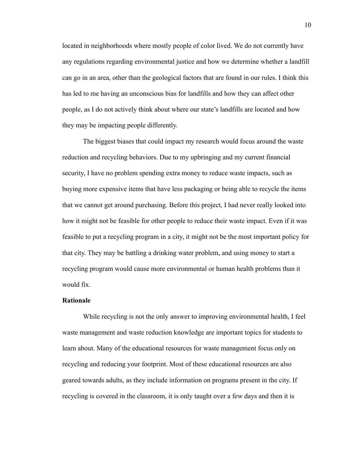located in neighborhoods where mostly people of color lived. We do not currently have any regulations regarding environmental justice and how we determine whether a landfill can go in an area, other than the geological factors that are found in our rules. I think this has led to me having an unconscious bias for landfills and how they can affect other people, as I do not actively think about where our state's landfills are located and how they may be impacting people differently.

The biggest biases that could impact my research would focus around the waste reduction and recycling behaviors. Due to my upbringing and my current financial security, I have no problem spending extra money to reduce waste impacts, such as buying more expensive items that have less packaging or being able to recycle the items that we cannot get around purchasing. Before this project, I had never really looked into how it might not be feasible for other people to reduce their waste impact. Even if it was feasible to put a recycling program in a city, it might not be the most important policy for that city. They may be battling a drinking water problem, and using money to start a recycling program would cause more environmental or human health problems than it would fix.

# <span id="page-10-0"></span>**Rationale**

While recycling is not the only answer to improving environmental health, I feel waste management and waste reduction knowledge are important topics for students to learn about. Many of the educational resources for waste management focus only on recycling and reducing your footprint. Most of these educational resources are also geared towards adults, as they include information on programs present in the city. If recycling is covered in the classroom, it is only taught over a few days and then it is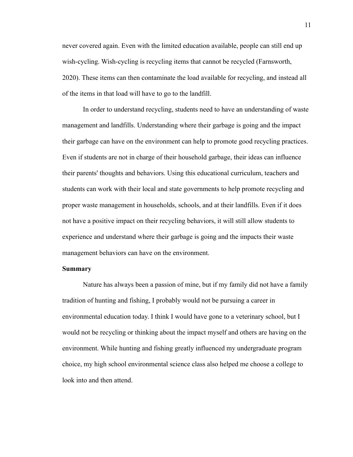never covered again. Even with the limited education available, people can still end up wish-cycling. Wish-cycling is recycling items that cannot be recycled (Farnsworth, 2020). These items can then contaminate the load available for recycling, and instead all of the items in that load will have to go to the landfill.

In order to understand recycling, students need to have an understanding of waste management and landfills. Understanding where their garbage is going and the impact their garbage can have on the environment can help to promote good recycling practices. Even if students are not in charge of their household garbage, their ideas can influence their parents' thoughts and behaviors. Using this educational curriculum, teachers and students can work with their local and state governments to help promote recycling and proper waste management in households, schools, and at their landfills. Even if it does not have a positive impact on their recycling behaviors, it will still allow students to experience and understand where their garbage is going and the impacts their waste management behaviors can have on the environment.

#### <span id="page-11-0"></span>**Summary**

Nature has always been a passion of mine, but if my family did not have a family tradition of hunting and fishing, I probably would not be pursuing a career in environmental education today. I think I would have gone to a veterinary school, but I would not be recycling or thinking about the impact myself and others are having on the environment. While hunting and fishing greatly influenced my undergraduate program choice, my high school environmental science class also helped me choose a college to look into and then attend.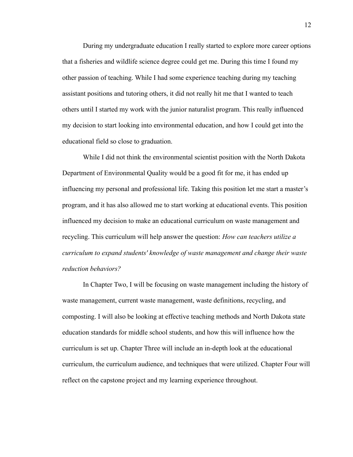During my undergraduate education I really started to explore more career options that a fisheries and wildlife science degree could get me. During this time I found my other passion of teaching. While I had some experience teaching during my teaching assistant positions and tutoring others, it did not really hit me that I wanted to teach others until I started my work with the junior naturalist program. This really influenced my decision to start looking into environmental education, and how I could get into the educational field so close to graduation.

While I did not think the environmental scientist position with the North Dakota Department of Environmental Quality would be a good fit for me, it has ended up influencing my personal and professional life. Taking this position let me start a master's program, and it has also allowed me to start working at educational events. This position influenced my decision to make an educational curriculum on waste management and recycling. This curriculum will help answer the question: *How can teachers utilize a curriculum to expand students' knowledge of waste management and change their waste reduction behaviors?*

In Chapter Two, I will be focusing on waste management including the history of waste management, current waste management, waste definitions, recycling, and composting. I will also be looking at effective teaching methods and North Dakota state education standards for middle school students, and how this will influence how the curriculum is set up. Chapter Three will include an in-depth look at the educational curriculum, the curriculum audience, and techniques that were utilized. Chapter Four will reflect on the capstone project and my learning experience throughout.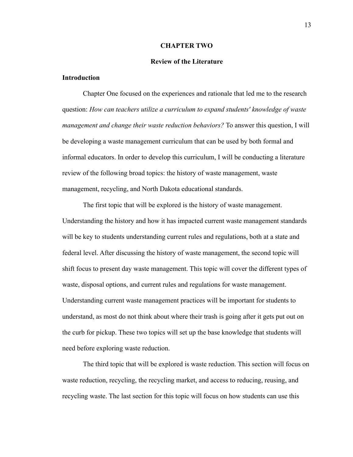#### **CHAPTER TWO**

#### **Review of the Literature**

# <span id="page-13-2"></span><span id="page-13-1"></span><span id="page-13-0"></span>**Introduction**

Chapter One focused on the experiences and rationale that led me to the research question: *How can teachers utilize a curriculum to expand students' knowledge of waste management and change their waste reduction behaviors?* To answer this question, I will be developing a waste management curriculum that can be used by both formal and informal educators. In order to develop this curriculum, I will be conducting a literature review of the following broad topics: the history of waste management, waste management, recycling, and North Dakota educational standards.

The first topic that will be explored is the history of waste management. Understanding the history and how it has impacted current waste management standards will be key to students understanding current rules and regulations, both at a state and federal level. After discussing the history of waste management, the second topic will shift focus to present day waste management. This topic will cover the different types of waste, disposal options, and current rules and regulations for waste management. Understanding current waste management practices will be important for students to understand, as most do not think about where their trash is going after it gets put out on the curb for pickup. These two topics will set up the base knowledge that students will need before exploring waste reduction.

The third topic that will be explored is waste reduction. This section will focus on waste reduction, recycling, the recycling market, and access to reducing, reusing, and recycling waste. The last section for this topic will focus on how students can use this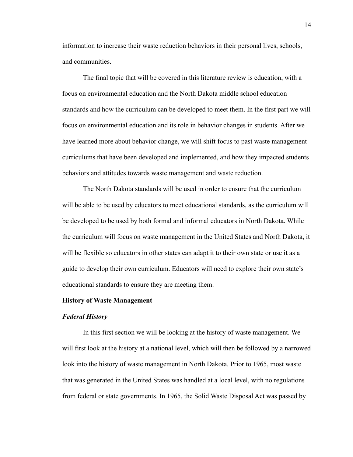information to increase their waste reduction behaviors in their personal lives, schools, and communities.

The final topic that will be covered in this literature review is education, with a focus on environmental education and the North Dakota middle school education standards and how the curriculum can be developed to meet them. In the first part we will focus on environmental education and its role in behavior changes in students. After we have learned more about behavior change, we will shift focus to past waste management curriculums that have been developed and implemented, and how they impacted students behaviors and attitudes towards waste management and waste reduction.

The North Dakota standards will be used in order to ensure that the curriculum will be able to be used by educators to meet educational standards, as the curriculum will be developed to be used by both formal and informal educators in North Dakota. While the curriculum will focus on waste management in the United States and North Dakota, it will be flexible so educators in other states can adapt it to their own state or use it as a guide to develop their own curriculum. Educators will need to explore their own state's educational standards to ensure they are meeting them.

# <span id="page-14-0"></span>**History of Waste Management**

#### <span id="page-14-1"></span>*Federal History*

In this first section we will be looking at the history of waste management. We will first look at the history at a national level, which will then be followed by a narrowed look into the history of waste management in North Dakota. Prior to 1965, most waste that was generated in the United States was handled at a local level, with no regulations from federal or state governments. In 1965, the Solid Waste Disposal Act was passed by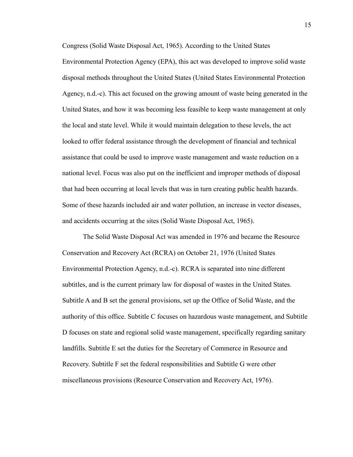Congress (Solid Waste Disposal Act, 1965). According to the United States Environmental Protection Agency (EPA), this act was developed to improve solid waste disposal methods throughout the United States (United States Environmental Protection Agency, n.d.-c). This act focused on the growing amount of waste being generated in the United States, and how it was becoming less feasible to keep waste management at only the local and state level. While it would maintain delegation to these levels, the act looked to offer federal assistance through the development of financial and technical assistance that could be used to improve waste management and waste reduction on a national level. Focus was also put on the inefficient and improper methods of disposal that had been occurring at local levels that was in turn creating public health hazards. Some of these hazards included air and water pollution, an increase in vector diseases, and accidents occurring at the sites (Solid Waste Disposal Act, 1965).

The Solid Waste Disposal Act was amended in 1976 and became the Resource Conservation and Recovery Act (RCRA) on October 21, 1976 (United States Environmental Protection Agency, n.d.-c). RCRA is separated into nine different subtitles, and is the current primary law for disposal of wastes in the United States. Subtitle A and B set the general provisions, set up the Office of Solid Waste, and the authority of this office. Subtitle C focuses on hazardous waste management, and Subtitle D focuses on state and regional solid waste management, specifically regarding sanitary landfills. Subtitle E set the duties for the Secretary of Commerce in Resource and Recovery. Subtitle F set the federal responsibilities and Subtitle G were other miscellaneous provisions (Resource Conservation and Recovery Act, 1976).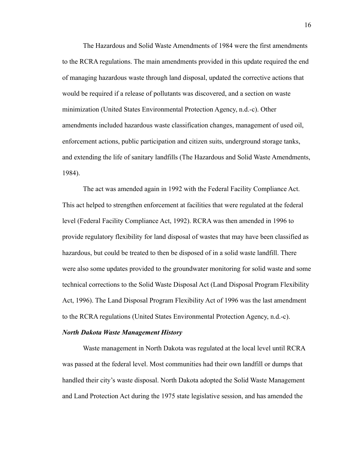The Hazardous and Solid Waste Amendments of 1984 were the first amendments to the RCRA regulations. The main amendments provided in this update required the end of managing hazardous waste through land disposal, updated the corrective actions that would be required if a release of pollutants was discovered, and a section on waste minimization (United States Environmental Protection Agency, n.d.-c). Other amendments included hazardous waste classification changes, management of used oil, enforcement actions, public participation and citizen suits, underground storage tanks, and extending the life of sanitary landfills (The Hazardous and Solid Waste Amendments, 1984).

The act was amended again in 1992 with the Federal Facility Compliance Act. This act helped to strengthen enforcement at facilities that were regulated at the federal level (Federal Facility Compliance Act, 1992). RCRA was then amended in 1996 to provide regulatory flexibility for land disposal of wastes that may have been classified as hazardous, but could be treated to then be disposed of in a solid waste landfill. There were also some updates provided to the groundwater monitoring for solid waste and some technical corrections to the Solid Waste Disposal Act (Land Disposal Program Flexibility Act, 1996). The Land Disposal Program Flexibility Act of 1996 was the last amendment to the RCRA regulations (United States Environmental Protection Agency, n.d.-c).

#### <span id="page-16-0"></span>*North Dakota Waste Management History*

Waste management in North Dakota was regulated at the local level until RCRA was passed at the federal level. Most communities had their own landfill or dumps that handled their city's waste disposal. North Dakota adopted the Solid Waste Management and Land Protection Act during the 1975 state legislative session, and has amended the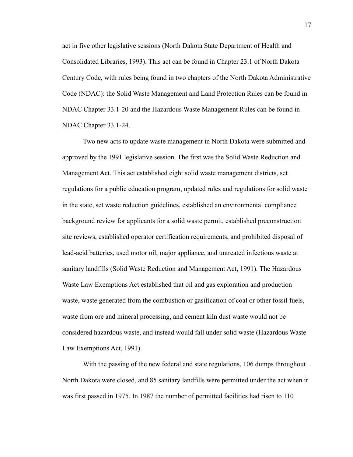act in five other legislative sessions (North Dakota State Department of Health and Consolidated Libraries, 1993). This act can be found in Chapter 23.1 of North Dakota Century Code, with rules being found in two chapters of the North Dakota Administrative Code (NDAC): the Solid Waste Management and Land Protection Rules can be found in NDAC Chapter 33.1-20 and the Hazardous Waste Management Rules can be found in NDAC Chapter 33.1-24.

Two new acts to update waste management in North Dakota were submitted and approved by the 1991 legislative session. The first was the Solid Waste Reduction and Management Act. This act established eight solid waste management districts, set regulations for a public education program, updated rules and regulations for solid waste in the state, set waste reduction guidelines, established an environmental compliance background review for applicants for a solid waste permit, established preconstruction site reviews, established operator certification requirements, and prohibited disposal of lead-acid batteries, used motor oil, major appliance, and untreated infectious waste at sanitary landfills (Solid Waste Reduction and Management Act, 1991). The Hazardous Waste Law Exemptions Act established that oil and gas exploration and production waste, waste generated from the combustion or gasification of coal or other fossil fuels, waste from ore and mineral processing, and cement kiln dust waste would not be considered hazardous waste, and instead would fall under solid waste (Hazardous Waste Law Exemptions Act, 1991).

With the passing of the new federal and state regulations, 106 dumps throughout North Dakota were closed, and 85 sanitary landfills were permitted under the act when it was first passed in 1975. In 1987 the number of permitted facilities had risen to 110

17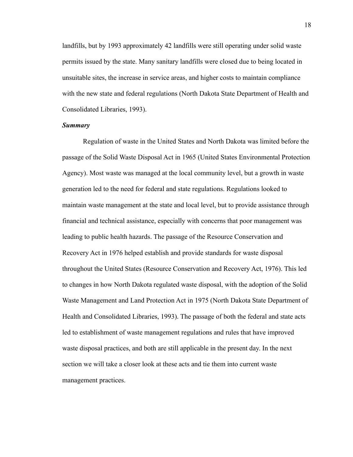landfills, but by 1993 approximately 42 landfills were still operating under solid waste permits issued by the state. Many sanitary landfills were closed due to being located in unsuitable sites, the increase in service areas, and higher costs to maintain compliance with the new state and federal regulations (North Dakota State Department of Health and Consolidated Libraries, 1993).

# *Summary*

Regulation of waste in the United States and North Dakota was limited before the passage of the Solid Waste Disposal Act in 1965 (United States Environmental Protection Agency). Most waste was managed at the local community level, but a growth in waste generation led to the need for federal and state regulations. Regulations looked to maintain waste management at the state and local level, but to provide assistance through financial and technical assistance, especially with concerns that poor management was leading to public health hazards. The passage of the Resource Conservation and Recovery Act in 1976 helped establish and provide standards for waste disposal throughout the United States (Resource Conservation and Recovery Act, 1976). This led to changes in how North Dakota regulated waste disposal, with the adoption of the Solid Waste Management and Land Protection Act in 1975 (North Dakota State Department of Health and Consolidated Libraries, 1993). The passage of both the federal and state acts led to establishment of waste management regulations and rules that have improved waste disposal practices, and both are still applicable in the present day. In the next section we will take a closer look at these acts and tie them into current waste management practices.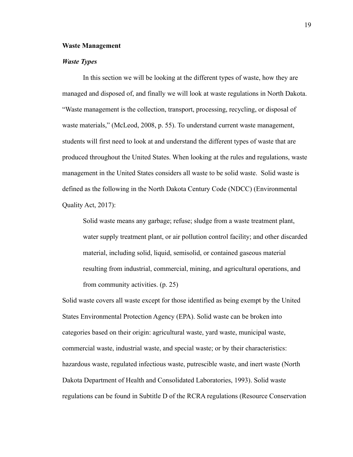#### <span id="page-19-0"></span>**Waste Management**

# <span id="page-19-1"></span>*Waste Types*

In this section we will be looking at the different types of waste, how they are managed and disposed of, and finally we will look at waste regulations in North Dakota. "Waste management is the collection, transport, processing, recycling, or disposal of waste materials," (McLeod, 2008, p. 55). To understand current waste management, students will first need to look at and understand the different types of waste that are produced throughout the United States. When looking at the rules and regulations, waste management in the United States considers all waste to be solid waste. Solid waste is defined as the following in the North Dakota Century Code (NDCC) (Environmental Quality Act, 2017):

Solid waste means any garbage; refuse; sludge from a waste treatment plant, water supply treatment plant, or air pollution control facility; and other discarded material, including solid, liquid, semisolid, or contained gaseous material resulting from industrial, commercial, mining, and agricultural operations, and from community activities. (p. 25)

Solid waste covers all waste except for those identified as being exempt by the United States Environmental Protection Agency (EPA). Solid waste can be broken into categories based on their origin: agricultural waste, yard waste, municipal waste, commercial waste, industrial waste, and special waste; or by their characteristics: hazardous waste, regulated infectious waste, putrescible waste, and inert waste (North Dakota Department of Health and Consolidated Laboratories, 1993). Solid waste regulations can be found in Subtitle D of the RCRA regulations (Resource Conservation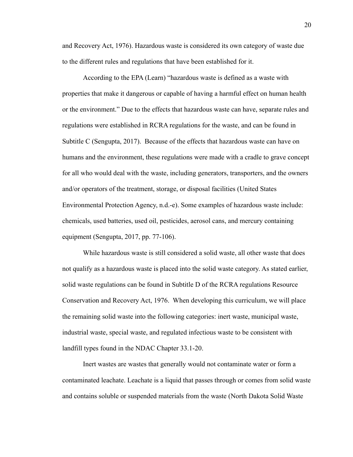and Recovery Act, 1976). Hazardous waste is considered its own category of waste due to the different rules and regulations that have been established for it.

According to the EPA (Learn) "hazardous waste is defined as a waste with properties that make it dangerous or capable of having a harmful effect on human health or the environment." Due to the effects that hazardous waste can have, separate rules and regulations were established in RCRA regulations for the waste, and can be found in Subtitle C (Sengupta, 2017). Because of the effects that hazardous waste can have on humans and the environment, these regulations were made with a cradle to grave concept for all who would deal with the waste, including generators, transporters, and the owners and/or operators of the treatment, storage, or disposal facilities (United States Environmental Protection Agency, n.d.-e). Some examples of hazardous waste include: chemicals, used batteries, used oil, pesticides, aerosol cans, and mercury containing equipment (Sengupta, 2017, pp. 77-106).

While hazardous waste is still considered a solid waste, all other waste that does not qualify as a hazardous waste is placed into the solid waste category. As stated earlier, solid waste regulations can be found in Subtitle D of the RCRA regulations Resource Conservation and Recovery Act, 1976. When developing this curriculum, we will place the remaining solid waste into the following categories: inert waste, municipal waste, industrial waste, special waste, and regulated infectious waste to be consistent with landfill types found in the NDAC Chapter 33.1-20.

Inert wastes are wastes that generally would not contaminate water or form a contaminated leachate. Leachate is a liquid that passes through or comes from solid waste and contains soluble or suspended materials from the waste (North Dakota Solid Waste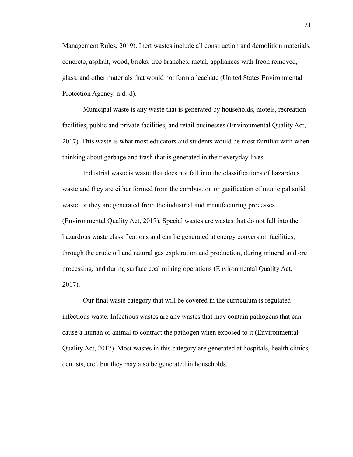Management Rules, 2019). Inert wastes include all construction and demolition materials, concrete, asphalt, wood, bricks, tree branches, metal, appliances with freon removed, glass, and other materials that would not form a leachate (United States Environmental Protection Agency, n.d.-d).

Municipal waste is any waste that is generated by households, motels, recreation facilities, public and private facilities, and retail businesses (Environmental Quality Act, 2017). This waste is what most educators and students would be most familiar with when thinking about garbage and trash that is generated in their everyday lives.

Industrial waste is waste that does not fall into the classifications of hazardous waste and they are either formed from the combustion or gasification of municipal solid waste, or they are generated from the industrial and manufacturing processes (Environmental Quality Act, 2017). Special wastes are wastes that do not fall into the hazardous waste classifications and can be generated at energy conversion facilities, through the crude oil and natural gas exploration and production, during mineral and ore processing, and during surface coal mining operations (Environmental Quality Act, 2017).

Our final waste category that will be covered in the curriculum is regulated infectious waste. Infectious wastes are any wastes that may contain pathogens that can cause a human or animal to contract the pathogen when exposed to it (Environmental Quality Act, 2017). Most wastes in this category are generated at hospitals, health clinics, dentists, etc., but they may also be generated in households.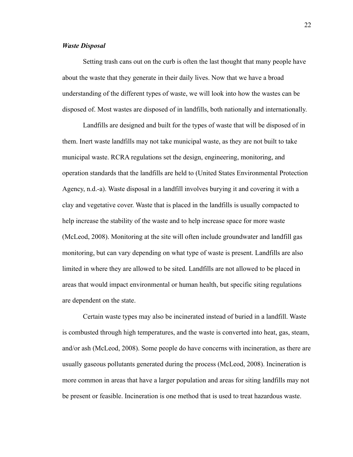#### <span id="page-22-0"></span>*Waste Disposal*

Setting trash cans out on the curb is often the last thought that many people have about the waste that they generate in their daily lives. Now that we have a broad understanding of the different types of waste, we will look into how the wastes can be disposed of. Most wastes are disposed of in landfills, both nationally and internationally.

Landfills are designed and built for the types of waste that will be disposed of in them. Inert waste landfills may not take municipal waste, as they are not built to take municipal waste. RCRA regulations set the design, engineering, monitoring, and operation standards that the landfills are held to (United States Environmental Protection Agency, n.d.-a). Waste disposal in a landfill involves burying it and covering it with a clay and vegetative cover. Waste that is placed in the landfills is usually compacted to help increase the stability of the waste and to help increase space for more waste (McLeod, 2008). Monitoring at the site will often include groundwater and landfill gas monitoring, but can vary depending on what type of waste is present. Landfills are also limited in where they are allowed to be sited. Landfills are not allowed to be placed in areas that would impact environmental or human health, but specific siting regulations are dependent on the state.

Certain waste types may also be incinerated instead of buried in a landfill. Waste is combusted through high temperatures, and the waste is converted into heat, gas, steam, and/or ash (McLeod, 2008). Some people do have concerns with incineration, as there are usually gaseous pollutants generated during the process (McLeod, 2008). Incineration is more common in areas that have a larger population and areas for siting landfills may not be present or feasible. Incineration is one method that is used to treat hazardous waste.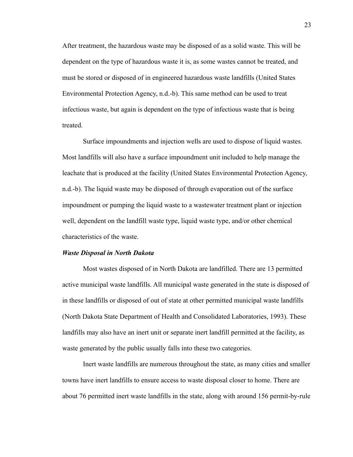After treatment, the hazardous waste may be disposed of as a solid waste. This will be dependent on the type of hazardous waste it is, as some wastes cannot be treated, and must be stored or disposed of in engineered hazardous waste landfills (United States Environmental Protection Agency, n.d.-b). This same method can be used to treat infectious waste, but again is dependent on the type of infectious waste that is being treated.

Surface impoundments and injection wells are used to dispose of liquid wastes. Most landfills will also have a surface impoundment unit included to help manage the leachate that is produced at the facility (United States Environmental Protection Agency, n.d.-b). The liquid waste may be disposed of through evaporation out of the surface impoundment or pumping the liquid waste to a wastewater treatment plant or injection well, dependent on the landfill waste type, liquid waste type, and/or other chemical characteristics of the waste.

#### <span id="page-23-0"></span>*Waste Disposal in North Dakota*

Most wastes disposed of in North Dakota are landfilled. There are 13 permitted active municipal waste landfills. All municipal waste generated in the state is disposed of in these landfills or disposed of out of state at other permitted municipal waste landfills (North Dakota State Department of Health and Consolidated Laboratories, 1993). These landfills may also have an inert unit or separate inert landfill permitted at the facility, as waste generated by the public usually falls into these two categories.

Inert waste landfills are numerous throughout the state, as many cities and smaller towns have inert landfills to ensure access to waste disposal closer to home. There are about 76 permitted inert waste landfills in the state, along with around 156 permit-by-rule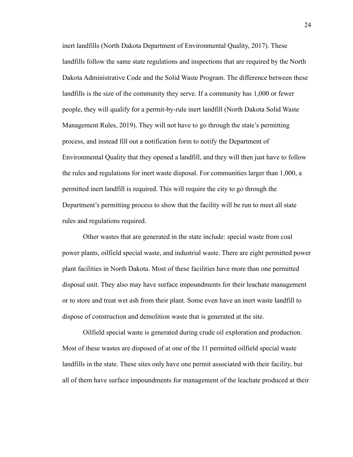inert landfills (North Dakota Department of Environmental Quality, 2017). These landfills follow the same state regulations and inspections that are required by the North Dakota Administrative Code and the Solid Waste Program. The difference between these landfills is the size of the community they serve. If a community has 1,000 or fewer people, they will qualify for a permit-by-rule inert landfill (North Dakota Solid Waste Management Rules, 2019). They will not have to go through the state's permitting process, and instead fill out a notification form to notify the Department of Environmental Quality that they opened a landfill, and they will then just have to follow the rules and regulations for inert waste disposal. For communities larger than 1,000, a permitted inert landfill is required. This will require the city to go through the Department's permitting process to show that the facility will be run to meet all state rules and regulations required.

Other wastes that are generated in the state include: special waste from coal power plants, oilfield special waste, and industrial waste. There are eight permitted power plant facilities in North Dakota. Most of these facilities have more than one permitted disposal unit. They also may have surface impoundments for their leachate management or to store and treat wet ash from their plant. Some even have an inert waste landfill to dispose of construction and demolition waste that is generated at the site.

Oilfield special waste is generated during crude oil exploration and production. Most of these wastes are disposed of at one of the 11 permitted oilfield special waste landfills in the state. These sites only have one permit associated with their facility, but all of them have surface impoundments for management of the leachate produced at their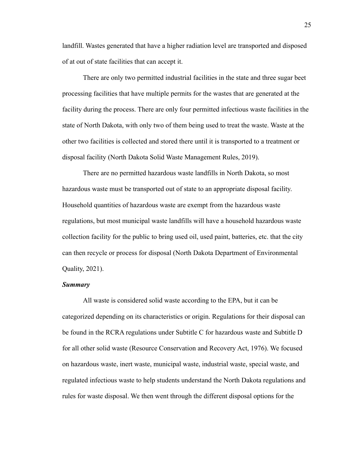landfill. Wastes generated that have a higher radiation level are transported and disposed of at out of state facilities that can accept it.

There are only two permitted industrial facilities in the state and three sugar beet processing facilities that have multiple permits for the wastes that are generated at the facility during the process. There are only four permitted infectious waste facilities in the state of North Dakota, with only two of them being used to treat the waste. Waste at the other two facilities is collected and stored there until it is transported to a treatment or disposal facility (North Dakota Solid Waste Management Rules, 2019).

There are no permitted hazardous waste landfills in North Dakota, so most hazardous waste must be transported out of state to an appropriate disposal facility. Household quantities of hazardous waste are exempt from the hazardous waste regulations, but most municipal waste landfills will have a household hazardous waste collection facility for the public to bring used oil, used paint, batteries, etc. that the city can then recycle or process for disposal (North Dakota Department of Environmental Quality, 2021).

### *Summary*

All waste is considered solid waste according to the EPA, but it can be categorized depending on its characteristics or origin. Regulations for their disposal can be found in the RCRA regulations under Subtitle C for hazardous waste and Subtitle D for all other solid waste (Resource Conservation and Recovery Act, 1976). We focused on hazardous waste, inert waste, municipal waste, industrial waste, special waste, and regulated infectious waste to help students understand the North Dakota regulations and rules for waste disposal. We then went through the different disposal options for the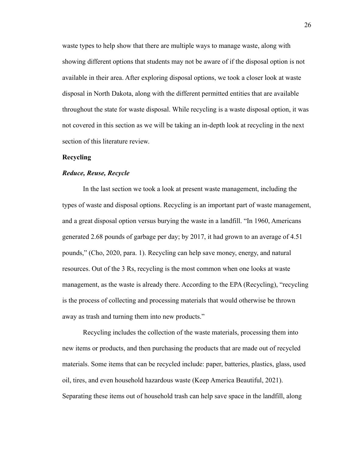waste types to help show that there are multiple ways to manage waste, along with showing different options that students may not be aware of if the disposal option is not available in their area. After exploring disposal options, we took a closer look at waste disposal in North Dakota, along with the different permitted entities that are available throughout the state for waste disposal. While recycling is a waste disposal option, it was not covered in this section as we will be taking an in-depth look at recycling in the next section of this literature review.

# <span id="page-26-0"></span>**Recycling**

# <span id="page-26-1"></span>*Reduce, Reuse, Recycle*

In the last section we took a look at present waste management, including the types of waste and disposal options. Recycling is an important part of waste management, and a great disposal option versus burying the waste in a landfill. "In 1960, Americans generated 2.68 pounds of garbage per day; by 2017, it had grown to an average of 4.51 pounds," (Cho, 2020, para. 1). Recycling can help save money, energy, and natural resources. Out of the 3 Rs, recycling is the most common when one looks at waste management, as the waste is already there. According to the EPA (Recycling), "recycling is the process of collecting and processing materials that would otherwise be thrown away as trash and turning them into new products."

Recycling includes the collection of the waste materials, processing them into new items or products, and then purchasing the products that are made out of recycled materials. Some items that can be recycled include: paper, batteries, plastics, glass, used oil, tires, and even household hazardous waste (Keep America Beautiful, 2021). Separating these items out of household trash can help save space in the landfill, along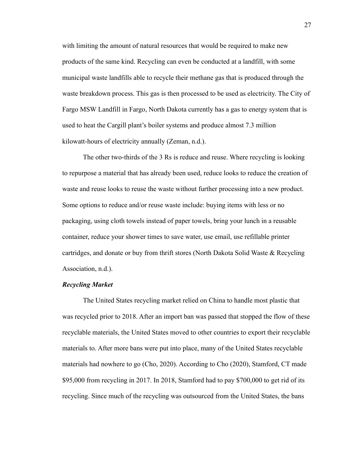with limiting the amount of natural resources that would be required to make new products of the same kind. Recycling can even be conducted at a landfill, with some municipal waste landfills able to recycle their methane gas that is produced through the waste breakdown process. This gas is then processed to be used as electricity. The City of Fargo MSW Landfill in Fargo, North Dakota currently has a gas to energy system that is used to heat the Cargill plant's boiler systems and produce almost 7.3 million kilowatt-hours of electricity annually (Zeman, n.d.).

The other two-thirds of the 3 Rs is reduce and reuse. Where recycling is looking to repurpose a material that has already been used, reduce looks to reduce the creation of waste and reuse looks to reuse the waste without further processing into a new product. Some options to reduce and/or reuse waste include: buying items with less or no packaging, using cloth towels instead of paper towels, bring your lunch in a reusable container, reduce your shower times to save water, use email, use refillable printer cartridges, and donate or buy from thrift stores (North Dakota Solid Waste & Recycling Association, n.d.).

#### <span id="page-27-0"></span>*Recycling Market*

The United States recycling market relied on China to handle most plastic that was recycled prior to 2018. After an import ban was passed that stopped the flow of these recyclable materials, the United States moved to other countries to export their recyclable materials to. After more bans were put into place, many of the United States recyclable materials had nowhere to go (Cho, 2020). According to Cho (2020), Stamford, CT made \$95,000 from recycling in 2017. In 2018, Stamford had to pay \$700,000 to get rid of its recycling. Since much of the recycling was outsourced from the United States, the bans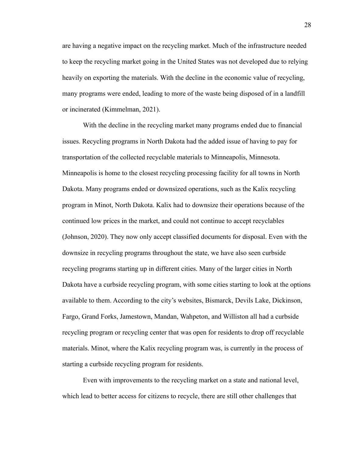are having a negative impact on the recycling market. Much of the infrastructure needed to keep the recycling market going in the United States was not developed due to relying heavily on exporting the materials. With the decline in the economic value of recycling, many programs were ended, leading to more of the waste being disposed of in a landfill or incinerated (Kimmelman, 2021).

With the decline in the recycling market many programs ended due to financial issues. Recycling programs in North Dakota had the added issue of having to pay for transportation of the collected recyclable materials to Minneapolis, Minnesota. Minneapolis is home to the closest recycling processing facility for all towns in North Dakota. Many programs ended or downsized operations, such as the Kalix recycling program in Minot, North Dakota. Kalix had to downsize their operations because of the continued low prices in the market, and could not continue to accept recyclables (Johnson, 2020). They now only accept classified documents for disposal. Even with the downsize in recycling programs throughout the state, we have also seen curbside recycling programs starting up in different cities. Many of the larger cities in North Dakota have a curbside recycling program, with some cities starting to look at the options available to them. According to the city's websites, Bismarck, Devils Lake, Dickinson, Fargo, Grand Forks, Jamestown, Mandan, Wahpeton, and Williston all had a curbside recycling program or recycling center that was open for residents to drop off recyclable materials. Minot, where the Kalix recycling program was, is currently in the process of starting a curbside recycling program for residents.

Even with improvements to the recycling market on a state and national level, which lead to better access for citizens to recycle, there are still other challenges that

28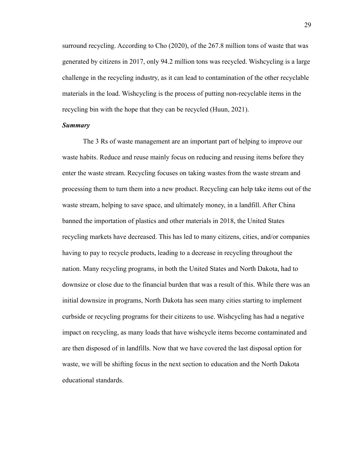surround recycling. According to Cho (2020), of the 267.8 million tons of waste that was generated by citizens in 2017, only 94.2 million tons was recycled. Wishcycling is a large challenge in the recycling industry, as it can lead to contamination of the other recyclable materials in the load. Wishcycling is the process of putting non-recyclable items in the recycling bin with the hope that they can be recycled (Huun, 2021).

# *Summary*

The 3 Rs of waste management are an important part of helping to improve our waste habits. Reduce and reuse mainly focus on reducing and reusing items before they enter the waste stream. Recycling focuses on taking wastes from the waste stream and processing them to turn them into a new product. Recycling can help take items out of the waste stream, helping to save space, and ultimately money, in a landfill. After China banned the importation of plastics and other materials in 2018, the United States recycling markets have decreased. This has led to many citizens, cities, and/or companies having to pay to recycle products, leading to a decrease in recycling throughout the nation. Many recycling programs, in both the United States and North Dakota, had to downsize or close due to the financial burden that was a result of this. While there was an initial downsize in programs, North Dakota has seen many cities starting to implement curbside or recycling programs for their citizens to use. Wishcycling has had a negative impact on recycling, as many loads that have wishcycle items become contaminated and are then disposed of in landfills. Now that we have covered the last disposal option for waste, we will be shifting focus in the next section to education and the North Dakota educational standards.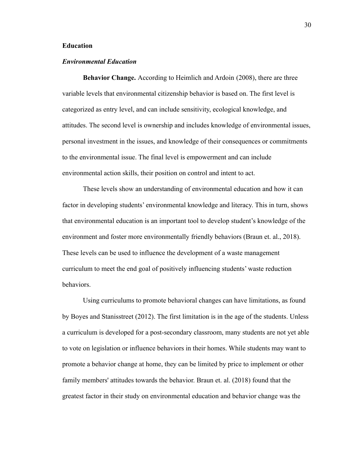# <span id="page-30-0"></span>**Education**

# <span id="page-30-1"></span>*Environmental Education*

**Behavior Change.** According to Heimlich and Ardoin (2008), there are three variable levels that environmental citizenship behavior is based on. The first level is categorized as entry level, and can include sensitivity, ecological knowledge, and attitudes. The second level is ownership and includes knowledge of environmental issues, personal investment in the issues, and knowledge of their consequences or commitments to the environmental issue. The final level is empowerment and can include environmental action skills, their position on control and intent to act.

These levels show an understanding of environmental education and how it can factor in developing students' environmental knowledge and literacy. This in turn, shows that environmental education is an important tool to develop student's knowledge of the environment and foster more environmentally friendly behaviors (Braun et. al., 2018). These levels can be used to influence the development of a waste management curriculum to meet the end goal of positively influencing students' waste reduction behaviors.

Using curriculums to promote behavioral changes can have limitations, as found by Boyes and Stanisstreet (2012). The first limitation is in the age of the students. Unless a curriculum is developed for a post-secondary classroom, many students are not yet able to vote on legislation or influence behaviors in their homes. While students may want to promote a behavior change at home, they can be limited by price to implement or other family members' attitudes towards the behavior. Braun et. al. (2018) found that the greatest factor in their study on environmental education and behavior change was the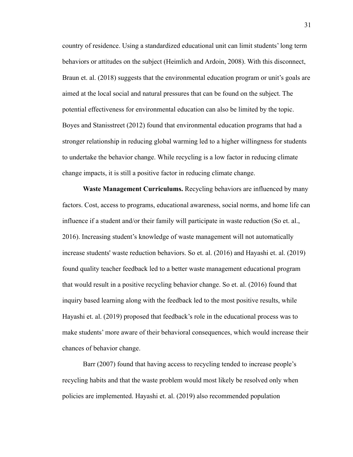country of residence. Using a standardized educational unit can limit students' long term behaviors or attitudes on the subject (Heimlich and Ardoin, 2008). With this disconnect, Braun et. al. (2018) suggests that the environmental education program or unit's goals are aimed at the local social and natural pressures that can be found on the subject. The potential effectiveness for environmental education can also be limited by the topic. Boyes and Stanisstreet (2012) found that environmental education programs that had a stronger relationship in reducing global warming led to a higher willingness for students to undertake the behavior change. While recycling is a low factor in reducing climate change impacts, it is still a positive factor in reducing climate change.

**Waste Management Curriculums.** Recycling behaviors are influenced by many factors. Cost, access to programs, educational awareness, social norms, and home life can influence if a student and/or their family will participate in waste reduction (So et. al., 2016). Increasing student's knowledge of waste management will not automatically increase students' waste reduction behaviors. So et. al. (2016) and Hayashi et. al. (2019) found quality teacher feedback led to a better waste management educational program that would result in a positive recycling behavior change. So et. al. (2016) found that inquiry based learning along with the feedback led to the most positive results, while Hayashi et. al. (2019) proposed that feedback's role in the educational process was to make students' more aware of their behavioral consequences, which would increase their chances of behavior change.

<span id="page-31-0"></span>Barr (2007) found that having access to recycling tended to increase people's recycling habits and that the waste problem would most likely be resolved only when policies are implemented. Hayashi et. al. (2019) also recommended population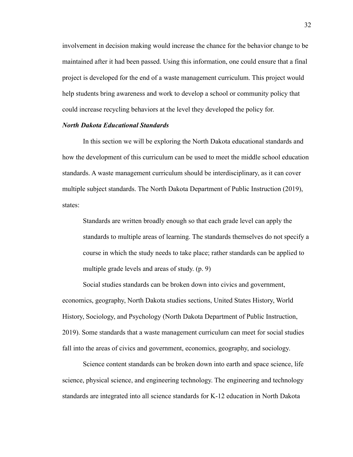involvement in decision making would increase the chance for the behavior change to be maintained after it had been passed. Using this information, one could ensure that a final project is developed for the end of a waste management curriculum. This project would help students bring awareness and work to develop a school or community policy that could increase recycling behaviors at the level they developed the policy for.

# <span id="page-32-0"></span>*North Dakota Educational Standards*

In this section we will be exploring the North Dakota educational standards and how the development of this curriculum can be used to meet the middle school education standards. A waste management curriculum should be interdisciplinary, as it can cover multiple subject standards. The North Dakota Department of Public Instruction (2019), states:

Standards are written broadly enough so that each grade level can apply the standards to multiple areas of learning. The standards themselves do not specify a course in which the study needs to take place; rather standards can be applied to multiple grade levels and areas of study. (p. 9)

Social studies standards can be broken down into civics and government, economics, geography, North Dakota studies sections, United States History, World History, Sociology, and Psychology (North Dakota Department of Public Instruction, 2019). Some standards that a waste management curriculum can meet for social studies fall into the areas of civics and government, economics, geography, and sociology.

Science content standards can be broken down into earth and space science, life science, physical science, and engineering technology. The engineering and technology standards are integrated into all science standards for K-12 education in North Dakota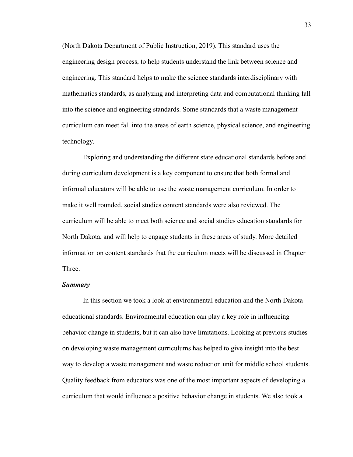(North Dakota Department of Public Instruction, 2019). This standard uses the engineering design process, to help students understand the link between science and engineering. This standard helps to make the science standards interdisciplinary with mathematics standards, as analyzing and interpreting data and computational thinking fall into the science and engineering standards. Some standards that a waste management curriculum can meet fall into the areas of earth science, physical science, and engineering technology.

Exploring and understanding the different state educational standards before and during curriculum development is a key component to ensure that both formal and informal educators will be able to use the waste management curriculum. In order to make it well rounded, social studies content standards were also reviewed. The curriculum will be able to meet both science and social studies education standards for North Dakota, and will help to engage students in these areas of study. More detailed information on content standards that the curriculum meets will be discussed in Chapter Three.

#### *Summary*

In this section we took a look at environmental education and the North Dakota educational standards. Environmental education can play a key role in influencing behavior change in students, but it can also have limitations. Looking at previous studies on developing waste management curriculums has helped to give insight into the best way to develop a waste management and waste reduction unit for middle school students. Quality feedback from educators was one of the most important aspects of developing a curriculum that would influence a positive behavior change in students. We also took a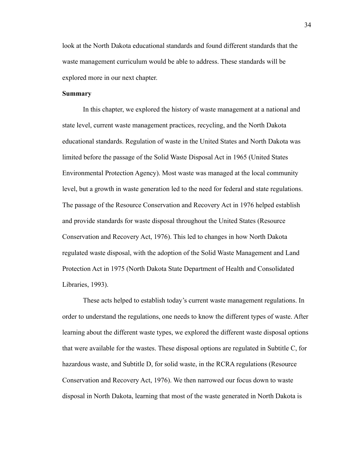look at the North Dakota educational standards and found different standards that the waste management curriculum would be able to address. These standards will be explored more in our next chapter.

### <span id="page-34-0"></span>**Summary**

In this chapter, we explored the history of waste management at a national and state level, current waste management practices, recycling, and the North Dakota educational standards. Regulation of waste in the United States and North Dakota was limited before the passage of the Solid Waste Disposal Act in 1965 (United States Environmental Protection Agency). Most waste was managed at the local community level, but a growth in waste generation led to the need for federal and state regulations. The passage of the Resource Conservation and Recovery Act in 1976 helped establish and provide standards for waste disposal throughout the United States (Resource Conservation and Recovery Act, 1976). This led to changes in how North Dakota regulated waste disposal, with the adoption of the Solid Waste Management and Land Protection Act in 1975 (North Dakota State Department of Health and Consolidated Libraries, 1993).

These acts helped to establish today's current waste management regulations. In order to understand the regulations, one needs to know the different types of waste. After learning about the different waste types, we explored the different waste disposal options that were available for the wastes. These disposal options are regulated in Subtitle C, for hazardous waste, and Subtitle D, for solid waste, in the RCRA regulations (Resource Conservation and Recovery Act, 1976). We then narrowed our focus down to waste disposal in North Dakota, learning that most of the waste generated in North Dakota is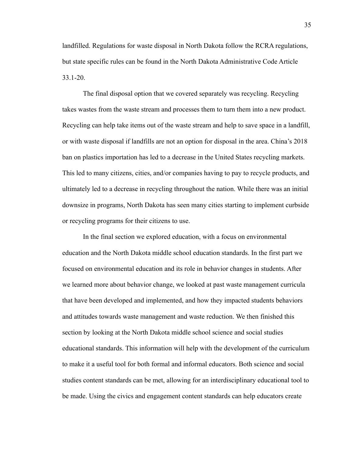landfilled. Regulations for waste disposal in North Dakota follow the RCRA regulations, but state specific rules can be found in the North Dakota Administrative Code Article 33.1-20.

The final disposal option that we covered separately was recycling. Recycling takes wastes from the waste stream and processes them to turn them into a new product. Recycling can help take items out of the waste stream and help to save space in a landfill, or with waste disposal if landfills are not an option for disposal in the area. China's 2018 ban on plastics importation has led to a decrease in the United States recycling markets. This led to many citizens, cities, and/or companies having to pay to recycle products, and ultimately led to a decrease in recycling throughout the nation. While there was an initial downsize in programs, North Dakota has seen many cities starting to implement curbside or recycling programs for their citizens to use.

In the final section we explored education, with a focus on environmental education and the North Dakota middle school education standards. In the first part we focused on environmental education and its role in behavior changes in students. After we learned more about behavior change, we looked at past waste management curricula that have been developed and implemented, and how they impacted students behaviors and attitudes towards waste management and waste reduction. We then finished this section by looking at the North Dakota middle school science and social studies educational standards. This information will help with the development of the curriculum to make it a useful tool for both formal and informal educators. Both science and social studies content standards can be met, allowing for an interdisciplinary educational tool to be made. Using the civics and engagement content standards can help educators create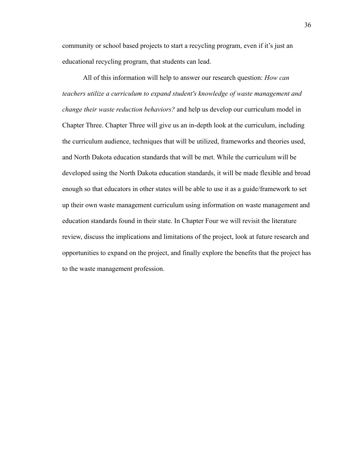community or school based projects to start a recycling program, even if it's just an educational recycling program, that students can lead.

All of this information will help to answer our research question: *How can teachers utilize a curriculum to expand student's knowledge of waste management and change their waste reduction behaviors?* and help us develop our curriculum model in Chapter Three. Chapter Three will give us an in-depth look at the curriculum, including the curriculum audience, techniques that will be utilized, frameworks and theories used, and North Dakota education standards that will be met. While the curriculum will be developed using the North Dakota education standards, it will be made flexible and broad enough so that educators in other states will be able to use it as a guide/framework to set up their own waste management curriculum using information on waste management and education standards found in their state. In Chapter Four we will revisit the literature review, discuss the implications and limitations of the project, look at future research and opportunities to expand on the project, and finally explore the benefits that the project has to the waste management profession.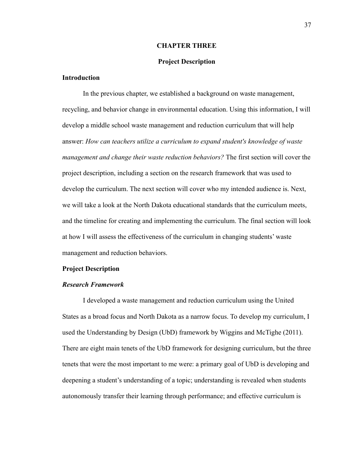# **CHAPTER THREE**

# **Project Description**

# <span id="page-37-2"></span><span id="page-37-1"></span><span id="page-37-0"></span>**Introduction**

In the previous chapter, we established a background on waste management, recycling, and behavior change in environmental education. Using this information, I will develop a middle school waste management and reduction curriculum that will help answer: *How can teachers utilize a curriculum to expand student's knowledge of waste management and change their waste reduction behaviors?* The first section will cover the project description, including a section on the research framework that was used to develop the curriculum. The next section will cover who my intended audience is. Next, we will take a look at the North Dakota educational standards that the curriculum meets, and the timeline for creating and implementing the curriculum. The final section will look at how I will assess the effectiveness of the curriculum in changing students' waste management and reduction behaviors.

#### <span id="page-37-3"></span>**Project Description**

# <span id="page-37-4"></span>*Research Framework*

I developed a waste management and reduction curriculum using the United States as a broad focus and North Dakota as a narrow focus. To develop my curriculum, I used the Understanding by Design (UbD) framework by Wiggins and McTighe (2011). There are eight main tenets of the UbD framework for designing curriculum, but the three tenets that were the most important to me were: a primary goal of UbD is developing and deepening a student's understanding of a topic; understanding is revealed when students autonomously transfer their learning through performance; and effective curriculum is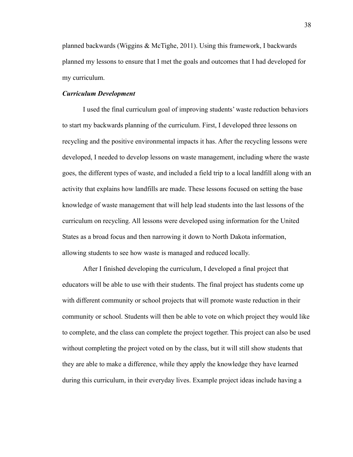planned backwards (Wiggins & McTighe, 2011). Using this framework, I backwards planned my lessons to ensure that I met the goals and outcomes that I had developed for my curriculum.

### <span id="page-38-0"></span>*Curriculum Development*

I used the final curriculum goal of improving students' waste reduction behaviors to start my backwards planning of the curriculum. First, I developed three lessons on recycling and the positive environmental impacts it has. After the recycling lessons were developed, I needed to develop lessons on waste management, including where the waste goes, the different types of waste, and included a field trip to a local landfill along with an activity that explains how landfills are made. These lessons focused on setting the base knowledge of waste management that will help lead students into the last lessons of the curriculum on recycling. All lessons were developed using information for the United States as a broad focus and then narrowing it down to North Dakota information, allowing students to see how waste is managed and reduced locally.

After I finished developing the curriculum, I developed a final project that educators will be able to use with their students. The final project has students come up with different community or school projects that will promote waste reduction in their community or school. Students will then be able to vote on which project they would like to complete, and the class can complete the project together. This project can also be used without completing the project voted on by the class, but it will still show students that they are able to make a difference, while they apply the knowledge they have learned during this curriculum, in their everyday lives. Example project ideas include having a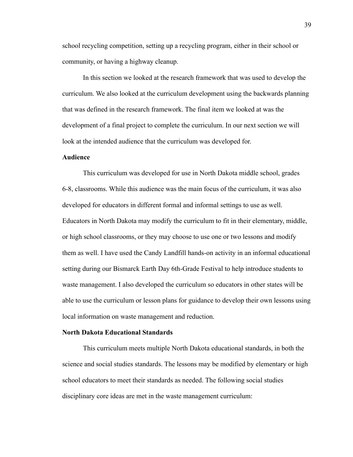school recycling competition, setting up a recycling program, either in their school or community, or having a highway cleanup.

In this section we looked at the research framework that was used to develop the curriculum. We also looked at the curriculum development using the backwards planning that was defined in the research framework. The final item we looked at was the development of a final project to complete the curriculum. In our next section we will look at the intended audience that the curriculum was developed for.

# <span id="page-39-0"></span>**Audience**

This curriculum was developed for use in North Dakota middle school, grades 6-8, classrooms. While this audience was the main focus of the curriculum, it was also developed for educators in different formal and informal settings to use as well. Educators in North Dakota may modify the curriculum to fit in their elementary, middle, or high school classrooms, or they may choose to use one or two lessons and modify them as well. I have used the Candy Landfill hands-on activity in an informal educational setting during our Bismarck Earth Day 6th-Grade Festival to help introduce students to waste management. I also developed the curriculum so educators in other states will be able to use the curriculum or lesson plans for guidance to develop their own lessons using local information on waste management and reduction.

# <span id="page-39-1"></span>**North Dakota Educational Standards**

This curriculum meets multiple North Dakota educational standards, in both the science and social studies standards. The lessons may be modified by elementary or high school educators to meet their standards as needed. The following social studies disciplinary core ideas are met in the waste management curriculum: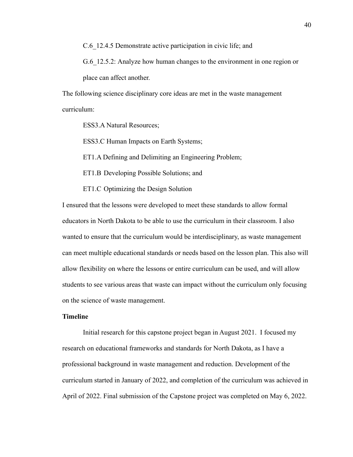C.6 12.4.5 Demonstrate active participation in civic life; and

G.6 12.5.2: Analyze how human changes to the environment in one region or place can affect another.

The following science disciplinary core ideas are met in the waste management curriculum:

ESS3.A Natural Resources;

ESS3.C Human Impacts on Earth Systems;

ET1.A Defining and Delimiting an Engineering Problem;

ET1.B Developing Possible Solutions; and

ET1.C Optimizing the Design Solution

I ensured that the lessons were developed to meet these standards to allow formal educators in North Dakota to be able to use the curriculum in their classroom. I also wanted to ensure that the curriculum would be interdisciplinary, as waste management can meet multiple educational standards or needs based on the lesson plan. This also will allow flexibility on where the lessons or entire curriculum can be used, and will allow students to see various areas that waste can impact without the curriculum only focusing on the science of waste management.

# <span id="page-40-0"></span>**Timeline**

Initial research for this capstone project began in August 2021. I focused my research on educational frameworks and standards for North Dakota, as I have a professional background in waste management and reduction. Development of the curriculum started in January of 2022, and completion of the curriculum was achieved in April of 2022. Final submission of the Capstone project was completed on May 6, 2022.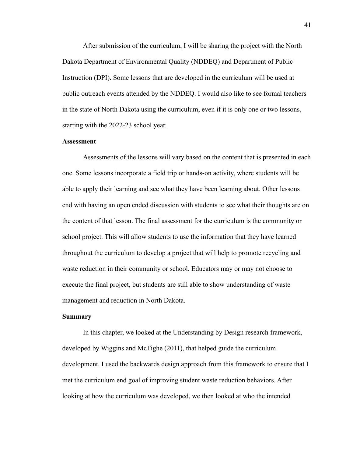After submission of the curriculum, I will be sharing the project with the North Dakota Department of Environmental Quality (NDDEQ) and Department of Public Instruction (DPI). Some lessons that are developed in the curriculum will be used at public outreach events attended by the NDDEQ. I would also like to see formal teachers in the state of North Dakota using the curriculum, even if it is only one or two lessons, starting with the 2022-23 school year.

# <span id="page-41-0"></span>**Assessment**

Assessments of the lessons will vary based on the content that is presented in each one. Some lessons incorporate a field trip or hands-on activity, where students will be able to apply their learning and see what they have been learning about. Other lessons end with having an open ended discussion with students to see what their thoughts are on the content of that lesson. The final assessment for the curriculum is the community or school project. This will allow students to use the information that they have learned throughout the curriculum to develop a project that will help to promote recycling and waste reduction in their community or school. Educators may or may not choose to execute the final project, but students are still able to show understanding of waste management and reduction in North Dakota.

#### <span id="page-41-1"></span>**Summary**

In this chapter, we looked at the Understanding by Design research framework, developed by Wiggins and McTighe (2011), that helped guide the curriculum development. I used the backwards design approach from this framework to ensure that I met the curriculum end goal of improving student waste reduction behaviors. After looking at how the curriculum was developed, we then looked at who the intended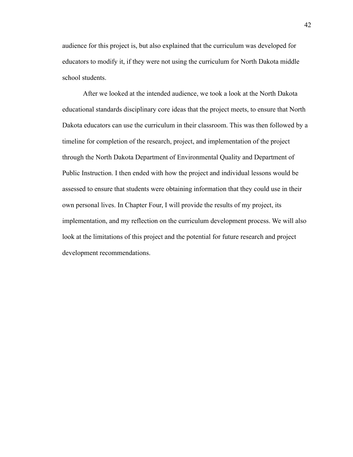audience for this project is, but also explained that the curriculum was developed for educators to modify it, if they were not using the curriculum for North Dakota middle school students.

After we looked at the intended audience, we took a look at the North Dakota educational standards disciplinary core ideas that the project meets, to ensure that North Dakota educators can use the curriculum in their classroom. This was then followed by a timeline for completion of the research, project, and implementation of the project through the North Dakota Department of Environmental Quality and Department of Public Instruction. I then ended with how the project and individual lessons would be assessed to ensure that students were obtaining information that they could use in their own personal lives. In Chapter Four, I will provide the results of my project, its implementation, and my reflection on the curriculum development process. We will also look at the limitations of this project and the potential for future research and project development recommendations.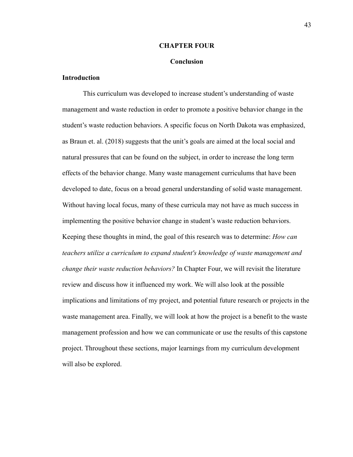#### **CHAPTER FOUR**

### **Conclusion**

# <span id="page-43-2"></span><span id="page-43-1"></span><span id="page-43-0"></span>**Introduction**

This curriculum was developed to increase student's understanding of waste management and waste reduction in order to promote a positive behavior change in the student's waste reduction behaviors. A specific focus on North Dakota was emphasized, as Braun et. al. (2018) suggests that the unit's goals are aimed at the local social and natural pressures that can be found on the subject, in order to increase the long term effects of the behavior change. Many waste management curriculums that have been developed to date, focus on a broad general understanding of solid waste management. Without having local focus, many of these curricula may not have as much success in implementing the positive behavior change in student's waste reduction behaviors. Keeping these thoughts in mind, the goal of this research was to determine: *How can teachers utilize a curriculum to expand student's knowledge of waste management and change their waste reduction behaviors?* In Chapter Four, we will revisit the literature review and discuss how it influenced my work. We will also look at the possible implications and limitations of my project, and potential future research or projects in the waste management area. Finally, we will look at how the project is a benefit to the waste management profession and how we can communicate or use the results of this capstone project. Throughout these sections, major learnings from my curriculum development will also be explored.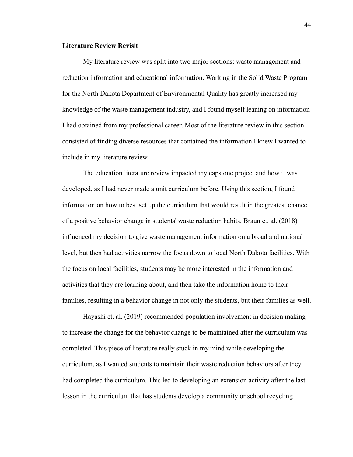# <span id="page-44-0"></span>**Literature Review Revisit**

My literature review was split into two major sections: waste management and reduction information and educational information. Working in the Solid Waste Program for the North Dakota Department of Environmental Quality has greatly increased my knowledge of the waste management industry, and I found myself leaning on information I had obtained from my professional career. Most of the literature review in this section consisted of finding diverse resources that contained the information I knew I wanted to include in my literature review.

The education literature review impacted my capstone project and how it was developed, as I had never made a unit curriculum before. Using this section, I found information on how to best set up the curriculum that would result in the greatest chance of a positive behavior change in students' waste reduction habits. Braun et. al. (2018) influenced my decision to give waste management information on a broad and national level, but then had activities narrow the focus down to local North Dakota facilities. With the focus on local facilities, students may be more interested in the information and activities that they are learning about, and then take the information home to their families, resulting in a behavior change in not only the students, but their families as well.

Hayashi et. al. (2019) recommended population involvement in decision making to increase the change for the behavior change to be maintained after the curriculum was completed. This piece of literature really stuck in my mind while developing the curriculum, as I wanted students to maintain their waste reduction behaviors after they had completed the curriculum. This led to developing an extension activity after the last lesson in the curriculum that has students develop a community or school recycling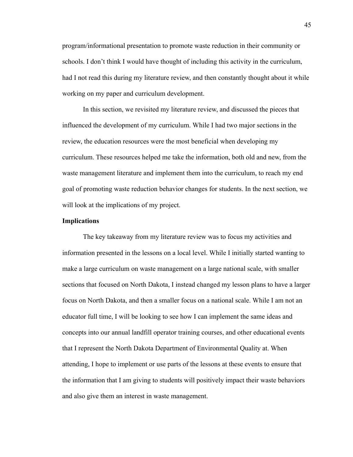program/informational presentation to promote waste reduction in their community or schools. I don't think I would have thought of including this activity in the curriculum, had I not read this during my literature review, and then constantly thought about it while working on my paper and curriculum development.

In this section, we revisited my literature review, and discussed the pieces that influenced the development of my curriculum. While I had two major sections in the review, the education resources were the most beneficial when developing my curriculum. These resources helped me take the information, both old and new, from the waste management literature and implement them into the curriculum, to reach my end goal of promoting waste reduction behavior changes for students. In the next section, we will look at the implications of my project.

#### <span id="page-45-0"></span>**Implications**

The key takeaway from my literature review was to focus my activities and information presented in the lessons on a local level. While I initially started wanting to make a large curriculum on waste management on a large national scale, with smaller sections that focused on North Dakota, I instead changed my lesson plans to have a larger focus on North Dakota, and then a smaller focus on a national scale. While I am not an educator full time, I will be looking to see how I can implement the same ideas and concepts into our annual landfill operator training courses, and other educational events that I represent the North Dakota Department of Environmental Quality at. When attending, I hope to implement or use parts of the lessons at these events to ensure that the information that I am giving to students will positively impact their waste behaviors and also give them an interest in waste management.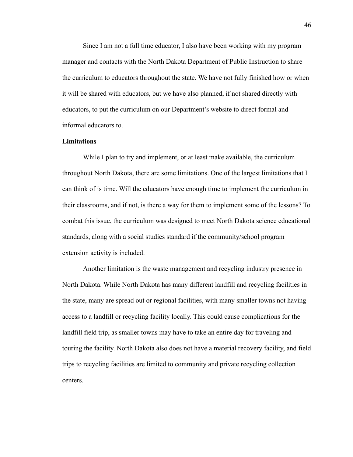Since I am not a full time educator, I also have been working with my program manager and contacts with the North Dakota Department of Public Instruction to share the curriculum to educators throughout the state. We have not fully finished how or when it will be shared with educators, but we have also planned, if not shared directly with educators, to put the curriculum on our Department's website to direct formal and informal educators to.

# <span id="page-46-0"></span>**Limitations**

While I plan to try and implement, or at least make available, the curriculum throughout North Dakota, there are some limitations. One of the largest limitations that I can think of is time. Will the educators have enough time to implement the curriculum in their classrooms, and if not, is there a way for them to implement some of the lessons? To combat this issue, the curriculum was designed to meet North Dakota science educational standards, along with a social studies standard if the community/school program extension activity is included.

Another limitation is the waste management and recycling industry presence in North Dakota. While North Dakota has many different landfill and recycling facilities in the state, many are spread out or regional facilities, with many smaller towns not having access to a landfill or recycling facility locally. This could cause complications for the landfill field trip, as smaller towns may have to take an entire day for traveling and touring the facility. North Dakota also does not have a material recovery facility, and field trips to recycling facilities are limited to community and private recycling collection centers.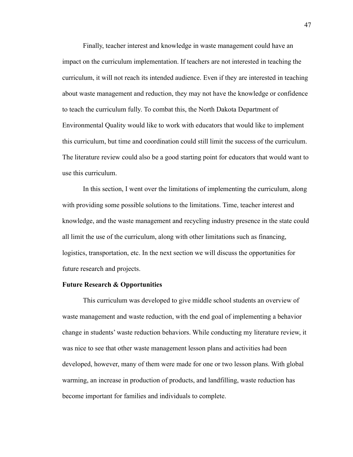Finally, teacher interest and knowledge in waste management could have an impact on the curriculum implementation. If teachers are not interested in teaching the curriculum, it will not reach its intended audience. Even if they are interested in teaching about waste management and reduction, they may not have the knowledge or confidence to teach the curriculum fully. To combat this, the North Dakota Department of Environmental Quality would like to work with educators that would like to implement this curriculum, but time and coordination could still limit the success of the curriculum. The literature review could also be a good starting point for educators that would want to use this curriculum.

In this section, I went over the limitations of implementing the curriculum, along with providing some possible solutions to the limitations. Time, teacher interest and knowledge, and the waste management and recycling industry presence in the state could all limit the use of the curriculum, along with other limitations such as financing, logistics, transportation, etc. In the next section we will discuss the opportunities for future research and projects.

### <span id="page-47-0"></span>**Future Research & Opportunities**

This curriculum was developed to give middle school students an overview of waste management and waste reduction, with the end goal of implementing a behavior change in students' waste reduction behaviors. While conducting my literature review, it was nice to see that other waste management lesson plans and activities had been developed, however, many of them were made for one or two lesson plans. With global warming, an increase in production of products, and landfilling, waste reduction has become important for families and individuals to complete.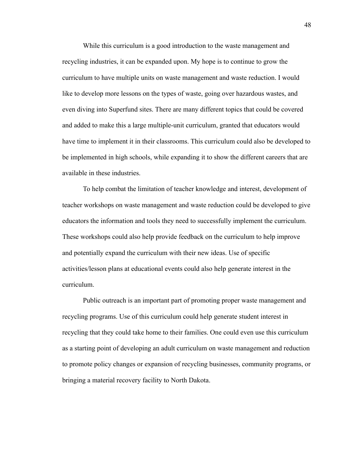While this curriculum is a good introduction to the waste management and recycling industries, it can be expanded upon. My hope is to continue to grow the curriculum to have multiple units on waste management and waste reduction. I would like to develop more lessons on the types of waste, going over hazardous wastes, and even diving into Superfund sites. There are many different topics that could be covered and added to make this a large multiple-unit curriculum, granted that educators would have time to implement it in their classrooms. This curriculum could also be developed to be implemented in high schools, while expanding it to show the different careers that are available in these industries.

To help combat the limitation of teacher knowledge and interest, development of teacher workshops on waste management and waste reduction could be developed to give educators the information and tools they need to successfully implement the curriculum. These workshops could also help provide feedback on the curriculum to help improve and potentially expand the curriculum with their new ideas. Use of specific activities/lesson plans at educational events could also help generate interest in the curriculum.

Public outreach is an important part of promoting proper waste management and recycling programs. Use of this curriculum could help generate student interest in recycling that they could take home to their families. One could even use this curriculum as a starting point of developing an adult curriculum on waste management and reduction to promote policy changes or expansion of recycling businesses, community programs, or bringing a material recovery facility to North Dakota.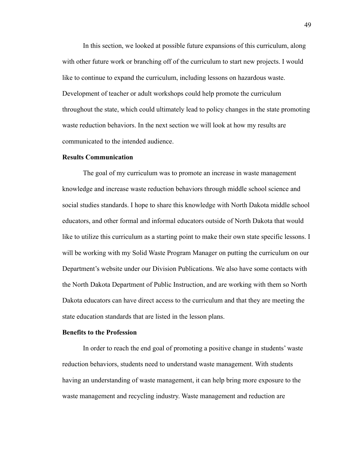In this section, we looked at possible future expansions of this curriculum, along with other future work or branching off of the curriculum to start new projects. I would like to continue to expand the curriculum, including lessons on hazardous waste. Development of teacher or adult workshops could help promote the curriculum throughout the state, which could ultimately lead to policy changes in the state promoting waste reduction behaviors. In the next section we will look at how my results are communicated to the intended audience.

## <span id="page-49-0"></span>**Results Communication**

The goal of my curriculum was to promote an increase in waste management knowledge and increase waste reduction behaviors through middle school science and social studies standards. I hope to share this knowledge with North Dakota middle school educators, and other formal and informal educators outside of North Dakota that would like to utilize this curriculum as a starting point to make their own state specific lessons. I will be working with my Solid Waste Program Manager on putting the curriculum on our Department's website under our Division Publications. We also have some contacts with the North Dakota Department of Public Instruction, and are working with them so North Dakota educators can have direct access to the curriculum and that they are meeting the state education standards that are listed in the lesson plans.

#### <span id="page-49-1"></span>**Benefits to the Profession**

In order to reach the end goal of promoting a positive change in students' waste reduction behaviors, students need to understand waste management. With students having an understanding of waste management, it can help bring more exposure to the waste management and recycling industry. Waste management and reduction are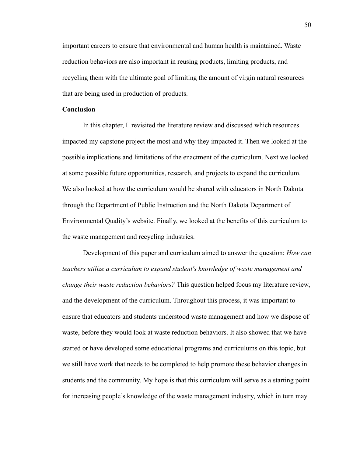important careers to ensure that environmental and human health is maintained. Waste reduction behaviors are also important in reusing products, limiting products, and recycling them with the ultimate goal of limiting the amount of virgin natural resources that are being used in production of products.

# <span id="page-50-0"></span>**Conclusion**

In this chapter, I revisited the literature review and discussed which resources impacted my capstone project the most and why they impacted it. Then we looked at the possible implications and limitations of the enactment of the curriculum. Next we looked at some possible future opportunities, research, and projects to expand the curriculum. We also looked at how the curriculum would be shared with educators in North Dakota through the Department of Public Instruction and the North Dakota Department of Environmental Quality's website. Finally, we looked at the benefits of this curriculum to the waste management and recycling industries.

Development of this paper and curriculum aimed to answer the question: *How can teachers utilize a curriculum to expand student's knowledge of waste management and change their waste reduction behaviors?* This question helped focus my literature review, and the development of the curriculum. Throughout this process, it was important to ensure that educators and students understood waste management and how we dispose of waste, before they would look at waste reduction behaviors. It also showed that we have started or have developed some educational programs and curriculums on this topic, but we still have work that needs to be completed to help promote these behavior changes in students and the community. My hope is that this curriculum will serve as a starting point for increasing people's knowledge of the waste management industry, which in turn may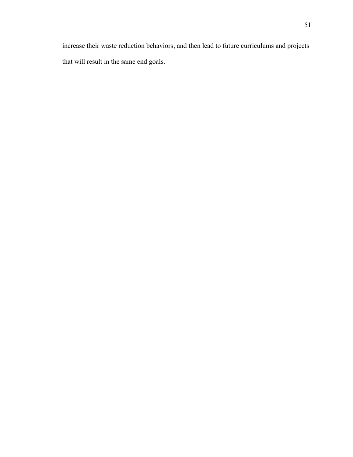increase their waste reduction behaviors; and then lead to future curriculums and projects that will result in the same end goals.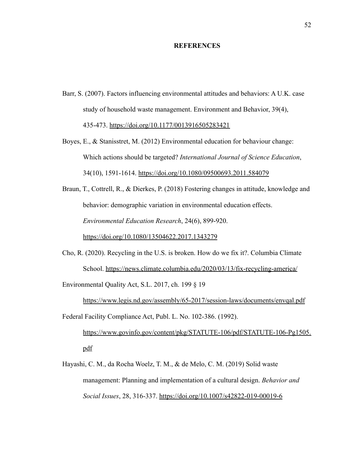# **REFERENCES**

- <span id="page-52-0"></span>Barr, S. (2007). Factors influencing environmental attitudes and behaviors: A U.K. case study of household waste management. Environment and Behavior, 39(4), 435-473. <https://doi.org/10.1177/0013916505283421>
- Boyes, E., & Stanisstret, M. (2012) Environmental education for behaviour change: Which actions should be targeted? *International Journal of Science Education*, 34(10), 1591-1614. <https://doi.org/10.1080/09500693.2011.584079>

Braun, T., Cottrell, R., & Dierkes, P. (2018) Fostering changes in attitude, knowledge and behavior: demographic variation in environmental education effects. *Environmental Education Research*, 24(6), 899-920. <https://doi.org/10.1080/13504622.2017.1343279>

Cho, R. (2020). Recycling in the U.S. is broken. How do we fix it?. Columbia Climate School. <https://news.climate.columbia.edu/2020/03/13/fix-recycling-america/>

Environmental Quality Act, S.L. 2017, ch. 199 § 19

<https://www.legis.nd.gov/assembly/65-2017/session-laws/documents/envqal.pdf> Federal Facility Compliance Act, Publ. L. No. 102-386. (1992).

[https://www.govinfo.gov/content/pkg/STATUTE-106/pdf/STATUTE-106-Pg1505.](https://www.govinfo.gov/content/pkg/STATUTE-106/pdf/STATUTE-106-Pg1505.pdf) [pdf](https://www.govinfo.gov/content/pkg/STATUTE-106/pdf/STATUTE-106-Pg1505.pdf)

Hayashi, C. M., da Rocha Woelz, T. M., & de Melo, C. M. (2019) Solid waste management: Planning and implementation of a cultural design. *Behavior and Social Issues*, 28, 316-337. <https://doi.org/10.1007/s42822-019-00019-6>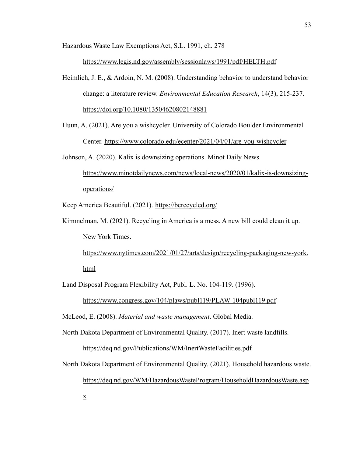Hazardous Waste Law Exemptions Act, S.L. 1991, ch. 278

<https://www.legis.nd.gov/assembly/sessionlaws/1991/pdf/HELTH.pdf>

- Heimlich, J. E., & Ardoin, N. M. (2008). Understanding behavior to understand behavior change: a literature review. *Environmental Education Research*, 14(3), 215-237. <https://doi.org/10.1080/13504620802148881>
- Huun, A. (2021). Are you a wishcycler. University of Colorado Boulder Environmental Center. <https://www.colorado.edu/ecenter/2021/04/01/are-you-wishcycler>

Johnson, A. (2020). Kalix is downsizing operations. Minot Daily News.

[https://www.minotdailynews.com/news/local-news/2020/01/kalix-is-downsizing](https://www.minotdailynews.com/news/local-news/2020/01/kalix-is-downsizing-operations/)[operations/](https://www.minotdailynews.com/news/local-news/2020/01/kalix-is-downsizing-operations/)

Keep America Beautiful. (2021). <https://berecycled.org/>

Kimmelman, M. (2021). Recycling in America is a mess. A new bill could clean it up. New York Times.

[https://www.nytimes.com/2021/01/27/arts/design/recycling-packaging-new-york.](https://www.nytimes.com/2021/01/27/arts/design/recycling-packaging-new-york.html) [html](https://www.nytimes.com/2021/01/27/arts/design/recycling-packaging-new-york.html)

Land Disposal Program Flexibility Act, Publ. L. No. 104-119. (1996).

<https://www.congress.gov/104/plaws/publ119/PLAW-104publ119.pdf>

McLeod, E. (2008). *Material and waste management*. Global Media.

[x](https://deq.nd.gov/WM/HazardousWasteProgram/HouseholdHazardousWaste.aspx)

North Dakota Department of Environmental Quality. (2017). Inert waste landfills.

<https://deq.nd.gov/Publications/WM/InertWasteFacilities.pdf>

North Dakota Department of Environmental Quality. (2021). Household hazardous waste. [https://deq.nd.gov/WM/HazardousWasteProgram/HouseholdHazardousWaste.asp](https://deq.nd.gov/WM/HazardousWasteProgram/HouseholdHazardousWaste.aspx)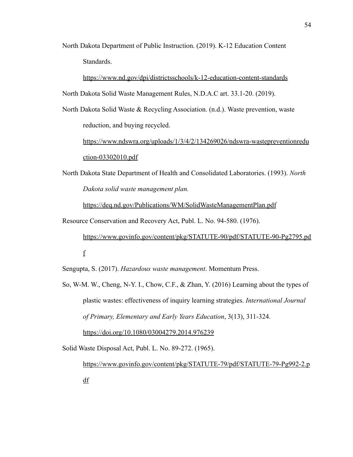North Dakota Department of Public Instruction. (2019). K-12 Education Content Standards.

<https://www.nd.gov/dpi/districtsschools/k-12-education-content-standards> North Dakota Solid Waste Management Rules, N.D.A.C art. 33.1-20. (2019).

North Dakota Solid Waste & Recycling Association. (n.d.). Waste prevention, waste reduction, and buying recycled.

[https://www.ndswra.org/uploads/1/3/4/2/134269026/ndswra-wastepreventionredu](https://www.ndswra.org/uploads/1/3/4/2/134269026/ndswra-wastepreventionreduction-03302010.pdf) [ction-03302010.pdf](https://www.ndswra.org/uploads/1/3/4/2/134269026/ndswra-wastepreventionreduction-03302010.pdf)

North Dakota State Department of Health and Consolidated Laboratories. (1993). *North Dakota solid waste management plan.*

<https://deq.nd.gov/Publications/WM/SolidWasteManagementPlan.pdf>

Resource Conservation and Recovery Act, Publ. L. No. 94-580. (1976).

[https://www.govinfo.gov/content/pkg/STATUTE-90/pdf/STATUTE-90-Pg2795.pd](https://www.govinfo.gov/content/pkg/STATUTE-90/pdf/STATUTE-90-Pg2795.pdf) [f](https://www.govinfo.gov/content/pkg/STATUTE-90/pdf/STATUTE-90-Pg2795.pdf)

Sengupta, S. (2017). *Hazardous waste management*. Momentum Press.

So, W-M. W., Cheng, N-Y. I., Chow, C.F., & Zhan, Y. (2016) Learning about the types of plastic wastes: effectiveness of inquiry learning strategies. *International Journal of Primary, Elementary and Early Years Education*, 3(13), 311-324.

<https://doi.org/10.1080/03004279.2014.976239>

Solid Waste Disposal Act, Publ. L. No. 89-272. (1965).

[https://www.govinfo.gov/content/pkg/STATUTE-79/pdf/STATUTE-79-Pg992-2.p](https://www.govinfo.gov/content/pkg/STATUTE-79/pdf/STATUTE-79-Pg992-2.pdf) [df](https://www.govinfo.gov/content/pkg/STATUTE-79/pdf/STATUTE-79-Pg992-2.pdf)